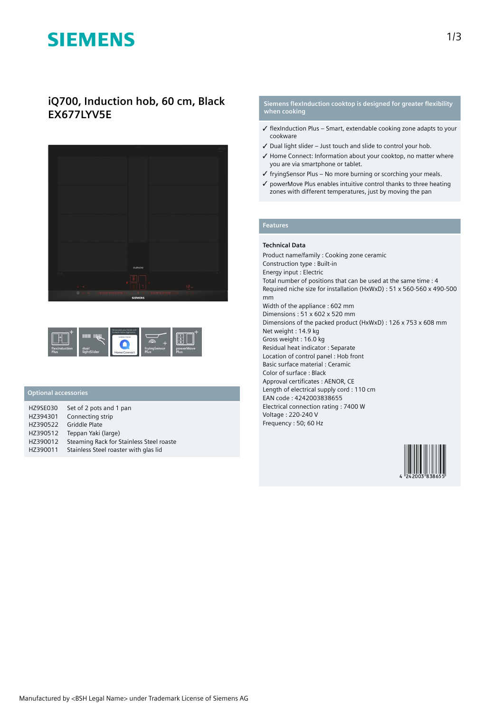# **SIEMENS**

## **iQ700, Induction hob, 60 cm, Black EX677LYV5E**





### **Optional accessories**

| <b>HZ9SE030</b> | Set of 2 pots and 1 pan                  |
|-----------------|------------------------------------------|
| HZ394301        | Connecting strip                         |
| HZ390522        | Griddle Plate                            |
| HZ390512        | Teppan Yaki (large)                      |
| HZ390012        | Steaming Rack for Stainless Steel roaste |
| HZ390011        | Stainless Steel roaster with glas lid    |

### **Siemens flexInduction cooktop is designed for greater flexibility when cooking**

- ✓ flexInduction Plus Smart, extendable cooking zone adapts to your cookware
- ✓ Dual light slider Just touch and slide to control your hob.
- ✓ Home Connect: Information about your cooktop, no matter where you are via smartphone or tablet.
- $\checkmark$  fryingSensor Plus No more burning or scorching your meals.
- ✓ powerMove Plus enables intuitive control thanks to three heating zones with different temperatures, just by moving the pan

#### **Features**

#### **Technical Data**

Product name/family : Cooking zone ceramic Construction type : Built-in Energy input : Electric Total number of positions that can be used at the same time : 4 Required niche size for installation (HxWxD) : 51 x 560-560 x 490-500 mm Width of the appliance : 602 mm Dimensions : 51 x 602 x 520 mm Dimensions of the packed product (HxWxD) : 126 x 753 x 608 mm Net weight : 14.9 kg Gross weight : 16.0 kg Residual heat indicator : Separate Location of control panel : Hob front Basic surface material : Ceramic Color of surface : Black Approval certificates : AENOR, CE Length of electrical supply cord : 110 cm EAN code : 4242003838655 Electrical connection rating : 7400 W Voltage : 220-240 V Frequency : 50; 60 Hz

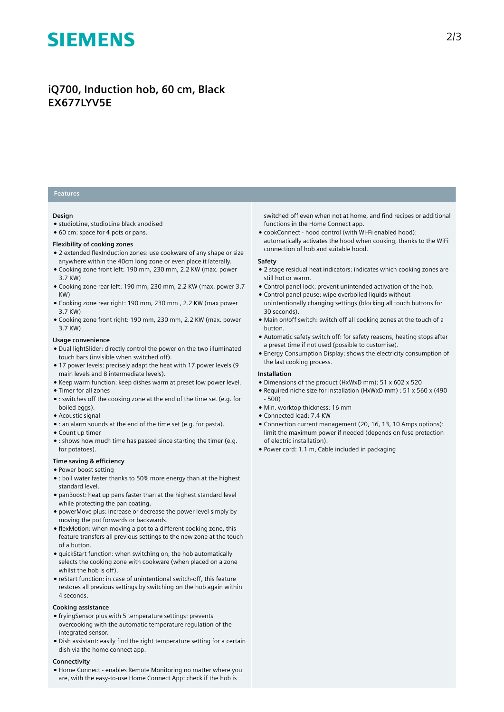# **SIEMENS**

## **iQ700, Induction hob, 60 cm, Black EX677LYV5E**

### **Features**

#### **Design**

- studioLine, studioLine black anodised
- 60 cm: space for 4 pots or pans.

#### **Flexibility of cooking zones**

- 2 extended flexInduction zones: use cookware of any shape or size anywhere within the 40cm long zone or even place it laterally.
- Cooking zone front left: 190 mm, 230 mm, 2.2 KW (max. power 3.7 KW)
- Cooking zone rear left: 190 mm, 230 mm, 2.2 KW (max. power 3.7 KW)
- Cooking zone rear right: 190 mm, 230 mm , 2.2 KW (max power 3.7 KW)
- Cooking zone front right: 190 mm, 230 mm, 2.2 KW (max. power 3.7 KW)

#### **Usage convenience**

- Dual lightSlider: directly control the power on the two illuminated touch bars (invisible when switched off).
- 17 power levels: precisely adapt the heat with 17 power levels (9 main levels and 8 intermediate levels).
- Keep warm function: keep dishes warm at preset low power level. ● Timer for all zones
- : switches off the cooking zone at the end of the time set (e.g. for boiled eggs).
- Acoustic signal
- : an alarm sounds at the end of the time set (e.g. for pasta).
- Count up timer
- : shows how much time has passed since starting the timer (e.g. for potatoes).

#### **Time saving & efficiency**

- Power boost setting
- : boil water faster thanks to 50% more energy than at the highest standard level.
- panBoost: heat up pans faster than at the highest standard level while protecting the pan coating.
- powerMove plus: increase or decrease the power level simply by moving the pot forwards or backwards.
- flexMotion: when moving a pot to a different cooking zone, this feature transfers all previous settings to the new zone at the touch of a button.
- quickStart function: when switching on, the hob automatically selects the cooking zone with cookware (when placed on a zone whilst the hob is off).
- reStart function: in case of unintentional switch-off, this feature restores all previous settings by switching on the hob again within 4 seconds.

#### **Cooking assistance**

- fryingSensor plus with 5 temperature settings: prevents overcooking with the automatic temperature regulation of the integrated sensor.
- Dish assistant: easily find the right temperature setting for a certain dish via the home connect app.

#### **Connectivity**

● Home Connect - enables Remote Monitoring no matter where you are, with the easy-to-use Home Connect App: check if the hob is

switched off even when not at home, and find recipes or additional functions in the Home Connect app.

● cookConnect - hood control (with Wi-Fi enabled hood): automatically activates the hood when cooking, thanks to the WiFi connection of hob and suitable hood.

#### **Safety**

- 2 stage residual heat indicators: indicates which cooking zones are still hot or warm.
- Control panel lock: prevent unintended activation of the hob.
- Control panel pause: wipe overboiled liquids without unintentionally changing settings (blocking all touch buttons for 30 seconds).
- Main on/off switch: switch off all cooking zones at the touch of a button.
- Automatic safety switch off: for safety reasons, heating stops after a preset time if not used (possible to customise).
- Energy Consumption Display: shows the electricity consumption of the last cooking process.

#### **Installation**

- Dimensions of the product (HxWxD mm): 51 x 602 x 520
- Required niche size for installation (HxWxD mm) : 51 x 560 x (490 - 500)
- Min. worktop thickness: 16 mm
- Connected load: 7.4 KW
- Connection current management (20, 16, 13, 10 Amps options): limit the maximum power if needed (depends on fuse protection of electric installation).
- Power cord: 1.1 m, Cable included in packaging